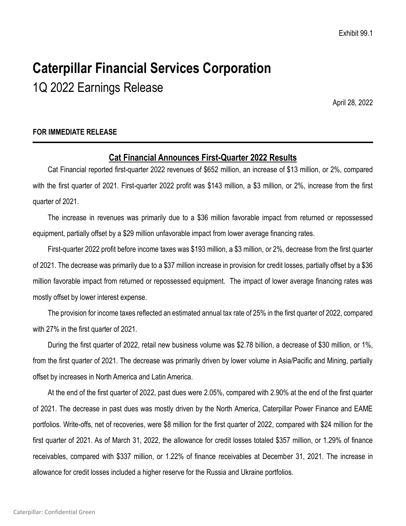# **Caterpillar Financial Services Corporation**

1Q 2022 Earnings Release

April 28, 2022

### **FOR IMMEDIATE RELEASE**

# **Cat Financial Announces First-Quarter 2022 Results**

Cat Financial reported first-quarter 2022 revenues of \$652 million, an increase of \$13 million, or 2%, compared with the first quarter of 2021. First-quarter 2022 profit was \$143 million, a \$3 million, or 2%, increase from the first quarter of 2021.

The increase in revenues was primarily due to a \$36 million favorable impact from returned or repossessed equipment, partially offset by a \$29 million unfavorable impact from lower average financing rates.

First-quarter 2022 profit before income taxes was \$193 million, a \$3 million, or 2%, decrease from the first quarter of 2021. The decrease was primarily due to a \$37 million increase in provision for credit losses, partially offset by a \$36 million favorable impact from returned or repossessed equipment. The impact of lower average financing rates was mostly offset by lower interest expense.

The provision for income taxes reflected an estimated annual tax rate of 25% in the first quarter of 2022, compared with 27% in the first quarter of 2021.

During the first quarter of 2022, retail new business volume was \$2.78 billion, a decrease of \$30 million, or 1%, from the first quarter of 2021. The decrease was primarily driven by lower volume in Asia/Pacific and Mining, partially offset by increases in North America and Latin America.

At the end of the first quarter of 2022, past dues were 2.05%, compared with 2.90% at the end of the first quarter of 2021. The decrease in past dues was mostly driven by the North America, Caterpillar Power Finance and EAME portfolios. Write-offs, net of recoveries, were \$8 million for the first quarter of 2022, compared with \$24 million for the first quarter of 2021. As of March 31, 2022, the allowance for credit losses totaled \$357 million, or 1.29% of finance receivables, compared with \$337 million, or 1.22% of finance receivables at December 31, 2021. The increase in allowance for credit losses included a higher reserve for the Russia and Ukraine portfolios.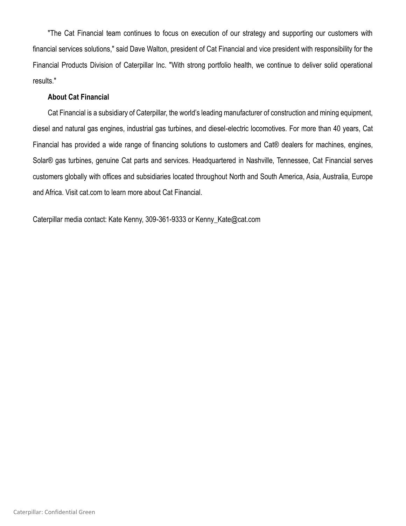"The Cat Financial team continues to focus on execution of our strategy and supporting our customers with financial services solutions," said Dave Walton, president of Cat Financial and vice president with responsibility for the Financial Products Division of Caterpillar Inc. "With strong portfolio health, we continue to deliver solid operational results."

#### **About Cat Financial**

Cat Financial is a subsidiary of Caterpillar, the world's leading manufacturer of construction and mining equipment, diesel and natural gas engines, industrial gas turbines, and diesel-electric locomotives. For more than 40 years, Cat Financial has provided a wide range of financing solutions to customers and Cat® dealers for machines, engines, Solar® gas turbines, genuine Cat parts and services. Headquartered in Nashville, Tennessee, Cat Financial serves customers globally with offices and subsidiaries located throughout North and South America, Asia, Australia, Europe and Africa. Visit cat.com to learn more about Cat Financial.

Caterpillar media contact: Kate Kenny, 309-361-9333 or Kenny\_Kate@cat.com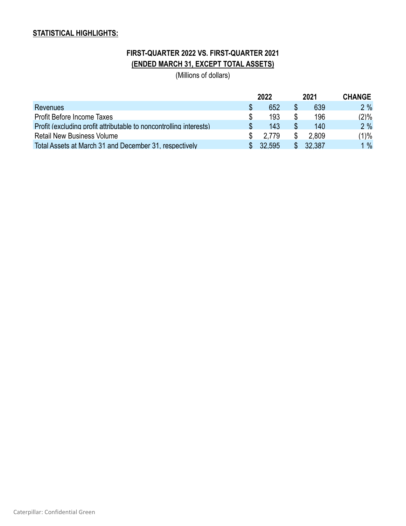# **STATISTICAL HIGHLIGHTS:**

# **FIRST-QUARTER 2022 VS. FIRST-QUARTER 2021 (ENDED MARCH 31, EXCEPT TOTAL ASSETS)**

(Millions of dollars)

|                                                                    | 2022     | 2021     | <b>CHANGE</b> |
|--------------------------------------------------------------------|----------|----------|---------------|
| <b>Revenues</b>                                                    | 652      | 639      | 2%            |
| Profit Before Income Taxes                                         | 193      | 196      | $(2)\%$       |
| Profit (excluding profit attributable to noncontrolling interests) | 143      | 140      | 2%            |
| <b>Retail New Business Volume</b>                                  | 2.779    | 2.809    | (1)%          |
| Total Assets at March 31 and December 31, respectively             | \$32,595 | \$32,387 | 1%            |